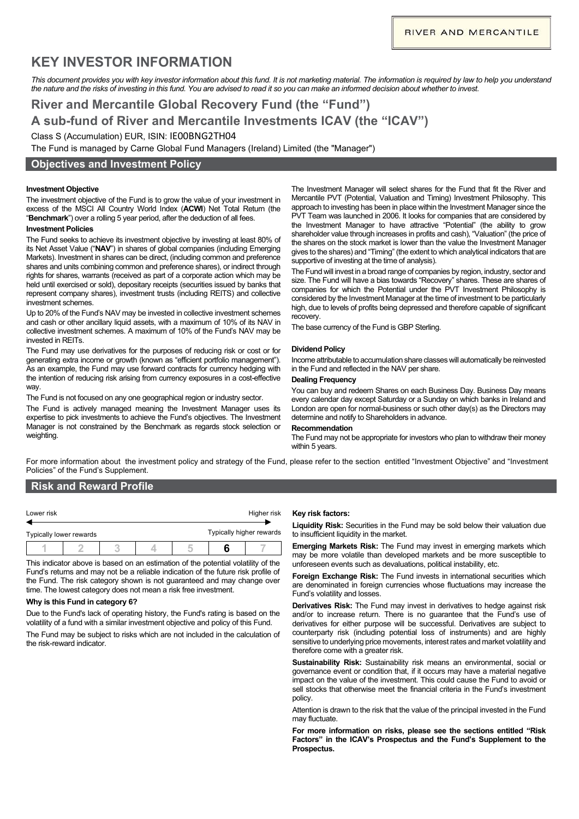# **KEY INVESTOR INFORMATION**

This document provides you with key investor information about this fund. It is not marketing material. The information is required by law to help you understand *the nature and the risks of investing in this fund. You are advised to read it so you can make an informed decision about whether to invest.*

# **River and Mercantile Global Recovery Fund (the "Fund") A sub-fund of River and Mercantile Investments ICAV (the "ICAV")**  Class S (Accumulation) EUR, ISIN: IE00BNG2TH04

The Fund is managed by Carne Global Fund Managers (Ireland) Limited (the "Manager")

## **Objectives and Investment Policy**

### **Investment Objective**

The investment objective of the Fund is to grow the value of your investment in excess of the MSCI All Country World Index (**ACWI**) Net Total Return (the "**Benchmark**") over a rolling 5 year period, after the deduction of all fees.

#### **Investment Policies**

The Fund seeks to achieve its investment objective by investing at least 80% of its Net Asset Value ("**NAV**") in shares of global companies (including Emerging Markets). Investment in shares can be direct, (including common and preference shares and units combining common and preference shares), or indirect through rights for shares, warrants (received as part of a corporate action which may be held until exercised or sold), depositary receipts (securities issued by banks that represent company shares), investment trusts (including REITS) and collective investment schemes.

Up to 20% of the Fund's NAV may be invested in collective investment schemes and cash or other ancillary liquid assets, with a maximum of 10% of its NAV in collective investment schemes. A maximum of 10% of the Fund's NAV may be invested in REITs.

The Fund may use derivatives for the purposes of reducing risk or cost or for generating extra income or growth (known as "efficient portfolio management"). As an example, the Fund may use forward contracts for currency hedging with the intention of reducing risk arising from currency exposures in a cost-effective way.

The Fund is not focused on any one geographical region or industry sector.

The Fund is actively managed meaning the Investment Manager uses its expertise to pick investments to achieve the Fund's objectives. The Investment Manager is not constrained by the Benchmark as regards stock selection or weighting.

The Investment Manager will select shares for the Fund that fit the River and Mercantile PVT (Potential, Valuation and Timing) Investment Philosophy. This approach to investing has been in place within the Investment Manager since the PVT Team was launched in 2006. It looks for companies that are considered by the Investment Manager to have attractive "Potential" (the ability to grow shareholder value through increases in profits and cash), "Valuation" (the price of the shares on the stock market is lower than the value the Investment Manager gives to the shares) and "Timing" (the extent to which analytical indicators that are supportive of investing at the time of analysis).

The Fund will invest in a broad range of companies by region, industry, sector and size. The Fund will have a bias towards "Recovery" shares. These are shares of companies for which the Potential under the PVT Investment Philosophy is considered by the Investment Manager at the time of investment to be particularly high, due to levels of profits being depressed and therefore capable of significant recovery.

The base currency of the Fund is GBP Sterling.

#### **Dividend Policy**

Income attributable to accumulation share classes will automatically be reinvested in the Fund and reflected in the NAV per share.

### **Dealing Frequency**

You can buy and redeem Shares on each Business Day. Business Day means every calendar day except Saturday or a Sunday on which banks in Ireland and London are open for normal-business or such other day(s) as the Directors may determine and notify to Shareholders in advance.

#### **Recommendation**

The Fund may not be appropriate for investors who plan to withdraw their money within 5 years.

For more information about the investment policy and strategy of the Fund, please refer to the section entitled "Investment Objective" and "Investment Policies" of the Fund's Supplement.

# **Risk and Reward Profile**

| Lower risk |                         |  |  | Higher risk              |  |  |
|------------|-------------------------|--|--|--------------------------|--|--|
|            | Typically lower rewards |  |  | Typically higher rewards |  |  |
|            |                         |  |  |                          |  |  |

This indicator above is based on an estimation of the potential volatility of the Fund's returns and may not be a reliable indication of the future risk profile of the Fund. The risk category shown is not guaranteed and may change over time. The lowest category does not mean a risk free investment.

#### **Why is this Fund in category 6?**

Due to the Fund's lack of operating history, the Fund's rating is based on the volatility of a fund with a similar investment objective and policy of this Fund.

The Fund may be subject to risks which are not included in the calculation of the risk-reward indicator.

### **Key risk factors:**

**Liquidity Risk:** Securities in the Fund may be sold below their valuation due to insufficient liquidity in the market.

**Emerging Markets Risk:** The Fund may invest in emerging markets which may be more volatile than developed markets and be more susceptible to unforeseen events such as devaluations, political instability, etc.

**Foreign Exchange Risk:** The Fund invests in international securities which are denominated in foreign currencies whose fluctuations may increase the Fund's volatility and losses.

**Derivatives Risk:** The Fund may invest in derivatives to hedge against risk and/or to increase return. There is no guarantee that the Fund's use of derivatives for either purpose will be successful. Derivatives are subject to counterparty risk (including potential loss of instruments) and are highly sensitive to underlying price movements, interest rates and market volatility and therefore come with a greater risk.

**Sustainability Risk:** Sustainability risk means an environmental, social or governance event or condition that, if it occurs may have a material negative impact on the value of the investment. This could cause the Fund to avoid or sell stocks that otherwise meet the financial criteria in the Fund's investment policy.

Attention is drawn to the risk that the value of the principal invested in the Fund may fluctuate.

**For more information on risks, please see the sections entitled "Risk Factors" in the ICAV's Prospectus and the Fund's Supplement to the Prospectus.**